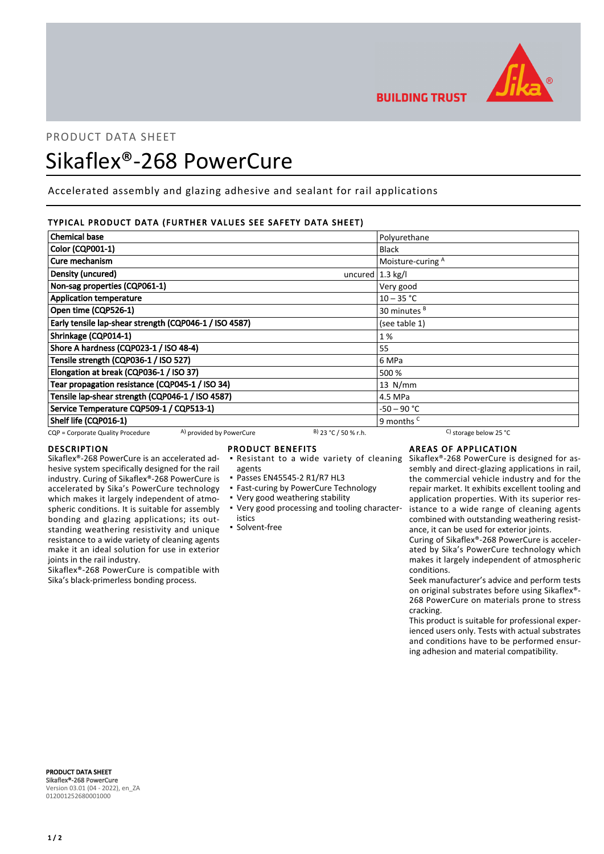

**BUILDING TRUST** 

# PRODUCT DATA SHEET

# Sikaflex®-268 PowerCure

Accelerated assembly and glazing adhesive and sealant for rail applications

# TYPICAL PRODUCT DATA (FURTHER VALUES SEE SAFETY DATA SHEET)

| <b>Chemical base</b>                                          |                             | Polyurethane             |
|---------------------------------------------------------------|-----------------------------|--------------------------|
| Color (CQP001-1)                                              |                             | <b>Black</b>             |
| Cure mechanism                                                |                             | Moisture-curing A        |
| Density (uncured)                                             | uncured $ 1.3 \text{ kg}/I$ |                          |
| Non-sag properties (CQP061-1)                                 |                             | Very good                |
| <b>Application temperature</b>                                |                             | $10 - 35 °C$             |
| Open time (CQP526-1)                                          |                             | 30 minutes <sup>B</sup>  |
| Early tensile lap-shear strength (CQP046-1 / ISO 4587)        |                             | (see table 1)            |
| Shrinkage (CQP014-1)                                          |                             | 1%                       |
| Shore A hardness (CQP023-1 / ISO 48-4)                        |                             | 55                       |
| Tensile strength (CQP036-1 / ISO 527)                         |                             | 6 MPa                    |
| Elongation at break (CQP036-1 / ISO 37)                       |                             | 500 %                    |
| Tear propagation resistance (CQP045-1 / ISO 34)               |                             | $13$ N/mm                |
| Tensile lap-shear strength (CQP046-1 / ISO 4587)              |                             | 4.5 MPa                  |
| Service Temperature CQP509-1 / CQP513-1)                      |                             | -50 – 90 °C              |
| Shelf life (CQP016-1)                                         |                             | 9 months <sup>c</sup>    |
| A) provided by PowerCure<br>CQP = Corporate Quality Procedure | $B)$ 23 °C / 50 % r.h.      | C) storage below 25 $°C$ |

# DESCRIPTION

Sikaflex®-268 PowerCure is an accelerated adhesive system specifically designed for the rail industry. Curing of Sikaflex®-268 PowerCure is accelerated by Sika's PowerCure technology which makes it largely independent of atmospheric conditions. It is suitable for assembly bonding and glazing applications; its outstanding weathering resistivity and unique resistance to a wide variety of cleaning agents make it an ideal solution for use in exterior joints in the rail industry.

Sikaflex®-268 PowerCure is compatible with Sika's black-primerless bonding process.

#### PRODUCT BENEFITS

- **Resistant to a wide variety of cleaning**
- agents
- Passes EN45545-2 R1/R7 HL3
- **East-curing by PowerCure Technology**
- Very good weathering stability
- Very good processing and tooling character-▪ istics
- Solvent-free

# AREAS OF APPLICATION

Sikaflex®-268 PowerCure is designed for assembly and direct-glazing applications in rail, the commercial vehicle industry and for the repair market. It exhibits excellent tooling and application properties. With its superior resistance to a wide range of cleaning agents combined with outstanding weathering resistance, it can be used for exterior joints.

Curing of Sikaflex®-268 PowerCure is accelerated by Sika's PowerCure technology which makes it largely independent of atmospheric conditions.

Seek manufacturer's advice and perform tests on original substrates before using Sikaflex®- 268 PowerCure on materials prone to stress cracking.

This product is suitable for professional experienced users only. Tests with actual substrates and conditions have to be performed ensuring adhesion and material compatibility.

PRODUCT DATA SHEET Sikaflex®-268 PowerCure Version 03.01 (04 - 2022), en\_ZA 012001252680001000